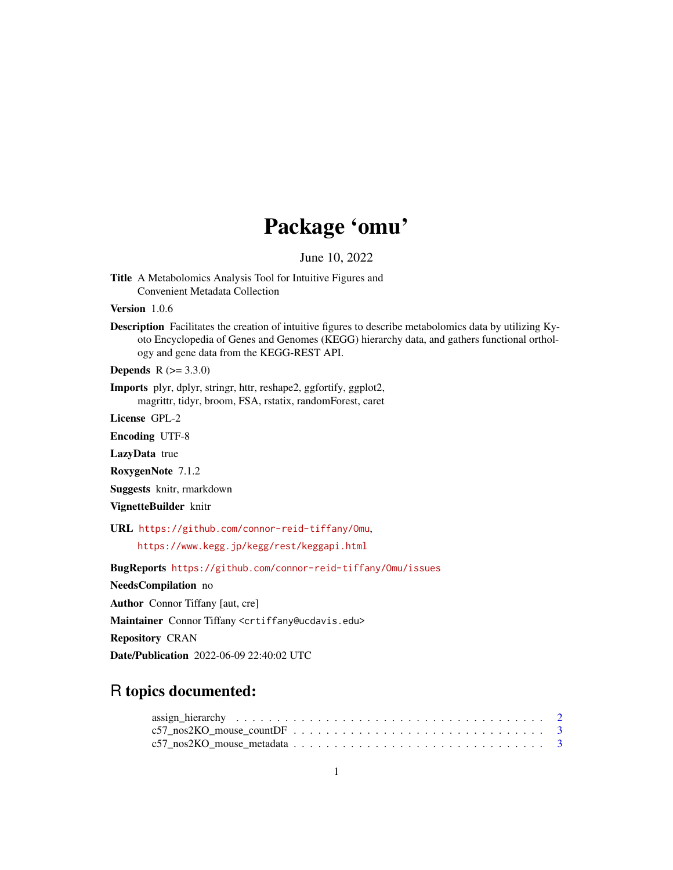## Package 'omu'

June 10, 2022

Title A Metabolomics Analysis Tool for Intuitive Figures and Convenient Metadata Collection

Version 1.0.6

Description Facilitates the creation of intuitive figures to describe metabolomics data by utilizing Kyoto Encyclopedia of Genes and Genomes (KEGG) hierarchy data, and gathers functional orthology and gene data from the KEGG-REST API.

**Depends**  $R (= 3.3.0)$ 

Imports plyr, dplyr, stringr, httr, reshape2, ggfortify, ggplot2, magrittr, tidyr, broom, FSA, rstatix, randomForest, caret

License GPL-2

Encoding UTF-8

LazyData true

RoxygenNote 7.1.2

Suggests knitr, rmarkdown

VignetteBuilder knitr

URL <https://github.com/connor-reid-tiffany/Omu>,

<https://www.kegg.jp/kegg/rest/keggapi.html>

BugReports <https://github.com/connor-reid-tiffany/Omu/issues>

NeedsCompilation no

Author Connor Tiffany [aut, cre]

Maintainer Connor Tiffany <crtiffany@ucdavis.edu>

Repository CRAN

Date/Publication 2022-06-09 22:40:02 UTC

### R topics documented: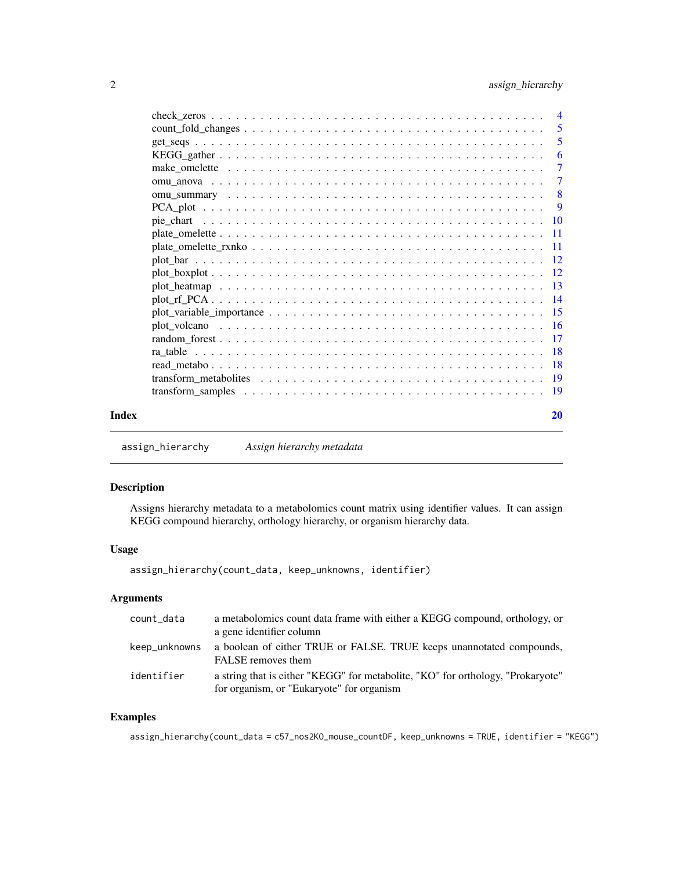<span id="page-1-0"></span>

|       | $\overline{\phantom{0}}$ 5 |
|-------|----------------------------|
|       | 5                          |
|       | -6                         |
|       | $\overline{7}$             |
|       | $\overline{7}$             |
|       | $\overline{\phantom{0}}8$  |
|       | $\overline{\mathbf{Q}}$    |
|       |                            |
|       |                            |
|       |                            |
|       |                            |
|       |                            |
|       |                            |
|       |                            |
|       |                            |
|       |                            |
|       |                            |
|       |                            |
|       |                            |
|       |                            |
|       |                            |
| Index | 20                         |

assign\_hierarchy *Assign hierarchy metadata*

#### Description

Assigns hierarchy metadata to a metabolomics count matrix using identifier values. It can assign KEGG compound hierarchy, orthology hierarchy, or organism hierarchy data.

#### Usage

```
assign_hierarchy(count_data, keep_unknowns, identifier)
```
### Arguments

| count_data    | a metabolomics count data frame with either a KEGG compound, orthology, or<br>a gene identifier column                       |
|---------------|------------------------------------------------------------------------------------------------------------------------------|
| keep_unknowns | a boolean of either TRUE or FALSE. TRUE keeps unannotated compounds,<br>FALSE removes them                                   |
| identifier    | a string that is either "KEGG" for metabolite, "KO" for orthology, "Prokaryote"<br>for organism, or "Eukaryote" for organism |

#### Examples

assign\_hierarchy(count\_data = c57\_nos2KO\_mouse\_countDF, keep\_unknowns = TRUE, identifier = "KEGG")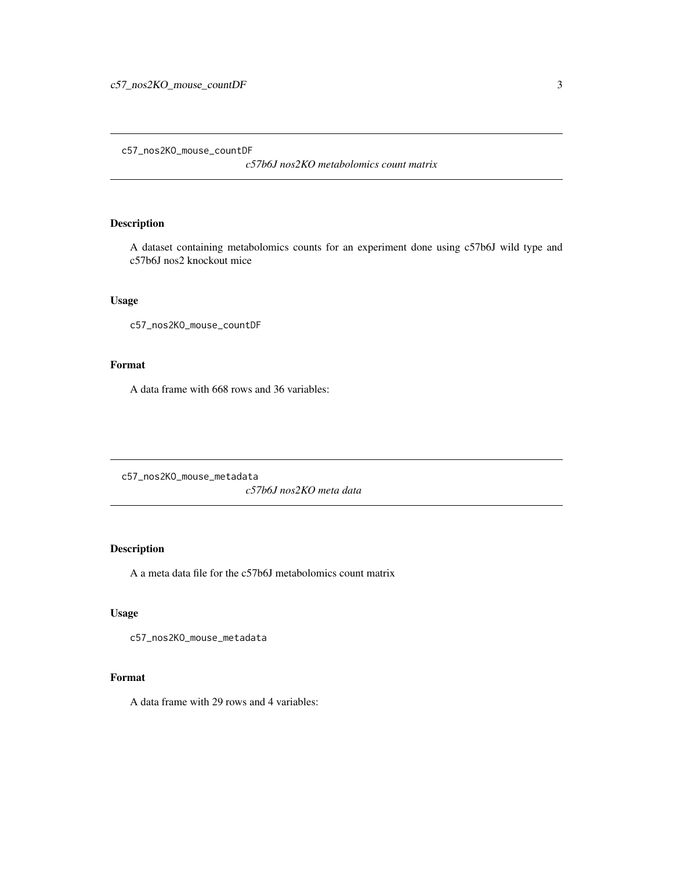<span id="page-2-0"></span>c57\_nos2KO\_mouse\_countDF

*c57b6J nos2KO metabolomics count matrix*

#### Description

A dataset containing metabolomics counts for an experiment done using c57b6J wild type and c57b6J nos2 knockout mice

#### Usage

c57\_nos2KO\_mouse\_countDF

#### Format

A data frame with 668 rows and 36 variables:

c57\_nos2KO\_mouse\_metadata *c57b6J nos2KO meta data*

#### Description

A a meta data file for the c57b6J metabolomics count matrix

#### Usage

c57\_nos2KO\_mouse\_metadata

#### Format

A data frame with 29 rows and 4 variables: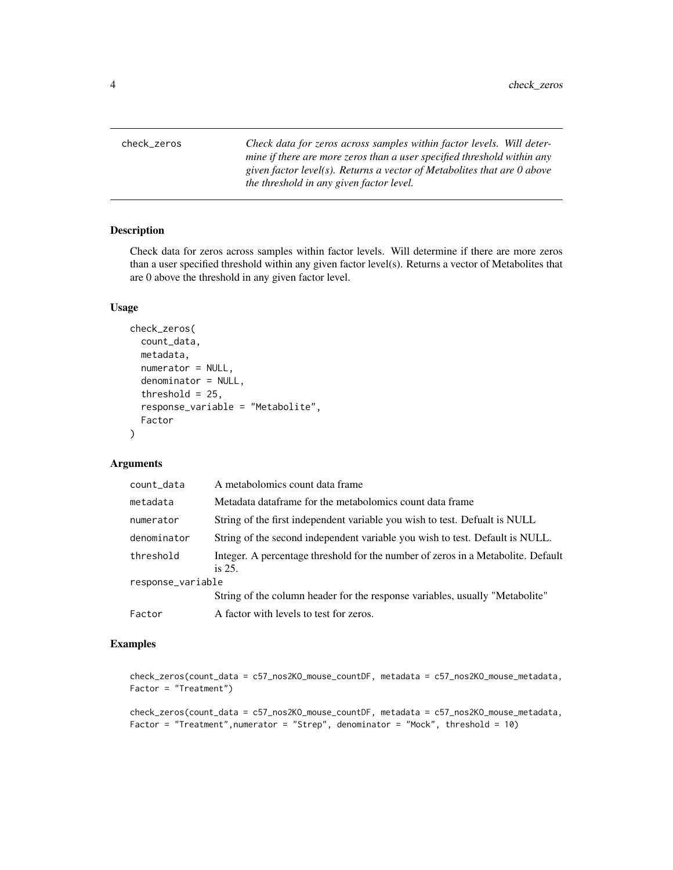<span id="page-3-0"></span>check\_zeros *Check data for zeros across samples within factor levels. Will determine if there are more zeros than a user specified threshold within any given factor level(s). Returns a vector of Metabolites that are 0 above the threshold in any given factor level.*

#### Description

Check data for zeros across samples within factor levels. Will determine if there are more zeros than a user specified threshold within any given factor level(s). Returns a vector of Metabolites that are 0 above the threshold in any given factor level.

#### Usage

```
check_zeros(
  count_data,
 metadata,
  numerator = NULL,
  denominator = NULL,
  threshold = 25,
  response_variable = "Metabolite",
  Factor
)
```
#### Arguments

| count_data        | A metabolomics count data frame                                                               |
|-------------------|-----------------------------------------------------------------------------------------------|
| metadata          | Metadata dataframe for the metabolomics count data frame                                      |
| numerator         | String of the first independent variable you wish to test. Defualt is NULL                    |
| denominator       | String of the second independent variable you wish to test. Default is NULL.                  |
| threshold         | Integer. A percentage threshold for the number of zeros in a Metabolite. Default<br>is $25$ . |
| response_variable |                                                                                               |
|                   | String of the column header for the response variables, usually "Metabolite"                  |
| Factor            | A factor with levels to test for zeros.                                                       |

```
check_zeros(count_data = c57_nos2KO_mouse_countDF, metadata = c57_nos2KO_mouse_metadata,
Factor = "Treatment")
```

```
check_zeros(count_data = c57_nos2KO_mouse_countDF, metadata = c57_nos2KO_mouse_metadata,
Factor = "Treatment",numerator = "Strep", denominator = "Mock", threshold = 10)
```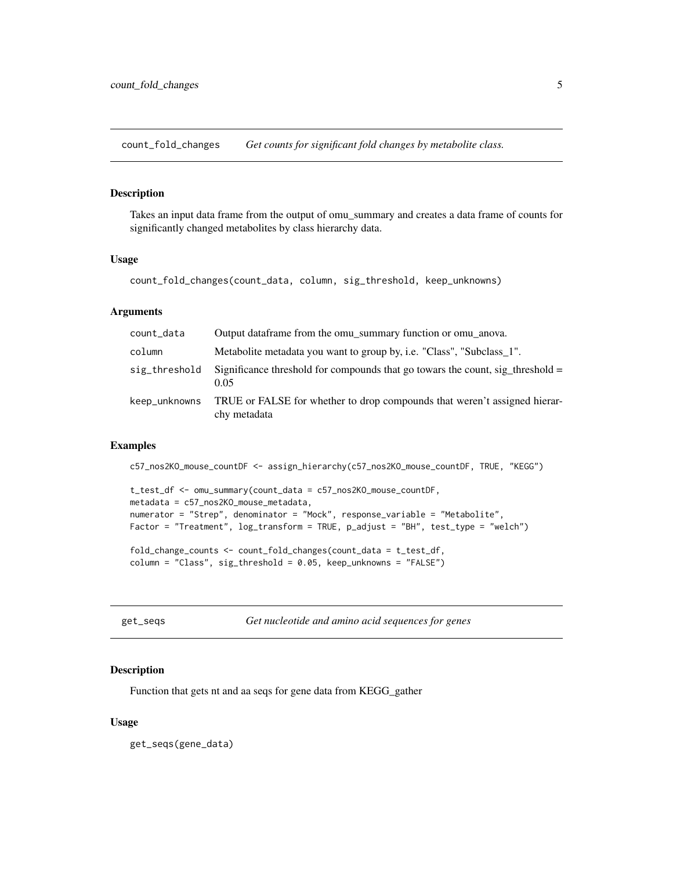<span id="page-4-0"></span>count\_fold\_changes *Get counts for significant fold changes by metabolite class.*

#### Description

Takes an input data frame from the output of omu\_summary and creates a data frame of counts for significantly changed metabolites by class hierarchy data.

#### Usage

```
count_fold_changes(count_data, column, sig_threshold, keep_unknowns)
```
#### Arguments

| count_data    | Output dataframe from the omu summary function or omu anova.                              |
|---------------|-------------------------------------------------------------------------------------------|
| column        | Metabolite metadata you want to group by, i.e. "Class", "Subclass_1".                     |
| sig_threshold | Significance threshold for compounds that go towars the count, sig threshold $=$<br>0.05  |
| keep_unknowns | TRUE or FALSE for whether to drop compounds that weren't assigned hierar-<br>chy metadata |

#### Examples

```
c57_nos2KO_mouse_countDF <- assign_hierarchy(c57_nos2KO_mouse_countDF, TRUE, "KEGG")
t_test_df <- omu_summary(count_data = c57_nos2KO_mouse_countDF,
metadata = c57_nos2KO_mouse_metadata,
numerator = "Strep", denominator = "Mock", response_variable = "Metabolite",
Factor = "Treatment", log_transform = TRUE, p_adjust = "BH", test_type = "welch")
fold_change_counts <- count_fold_changes(count_data = t_test_df,
column = "Class", sig_threshold = 0.05, keep_unknowns = "FALSE")
```
get\_seqs *Get nucleotide and amino acid sequences for genes*

#### **Description**

Function that gets nt and aa seqs for gene data from KEGG\_gather

#### Usage

get\_seqs(gene\_data)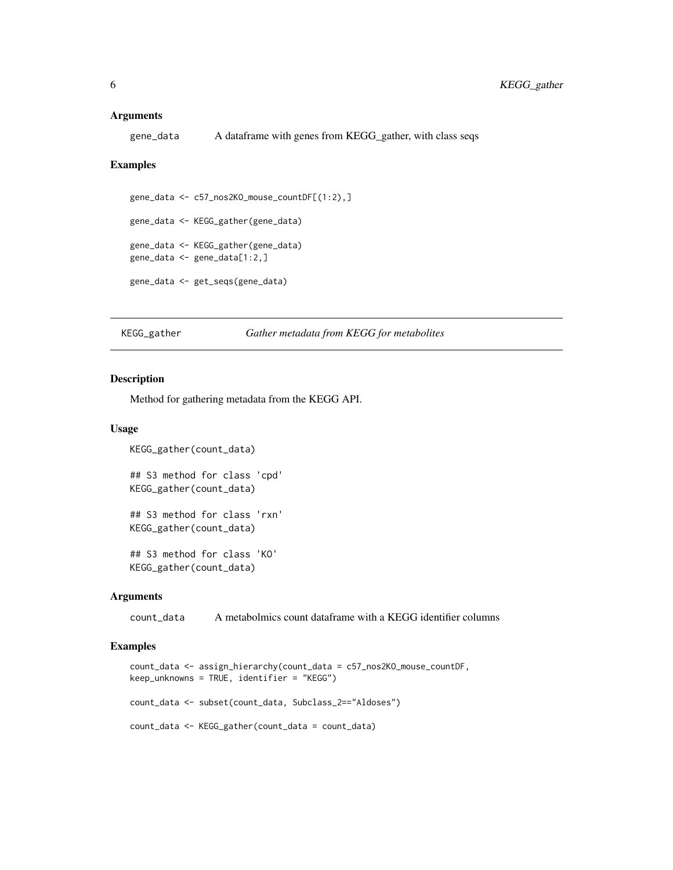#### <span id="page-5-0"></span>Arguments

gene\_data A dataframe with genes from KEGG\_gather, with class seqs

#### Examples

```
gene_data <- c57_nos2KO_mouse_countDF[(1:2),]
gene_data <- KEGG_gather(gene_data)
gene_data <- KEGG_gather(gene_data)
gene_data <- gene_data[1:2,]
gene_data <- get_seqs(gene_data)
```
KEGG\_gather *Gather metadata from KEGG for metabolites*

#### Description

Method for gathering metadata from the KEGG API.

#### Usage

```
KEGG_gather(count_data)
## S3 method for class 'cpd'
KEGG_gather(count_data)
## S3 method for class 'rxn'
KEGG_gather(count_data)
## S3 method for class 'KO'
KEGG_gather(count_data)
```
#### **Arguments**

count\_data A metabolmics count dataframe with a KEGG identifier columns

```
count_data <- assign_hierarchy(count_data = c57_nos2KO_mouse_countDF,
keep_unknowns = TRUE, identifier = "KEGG")
count_data <- subset(count_data, Subclass_2=="Aldoses")
count_data <- KEGG_gather(count_data = count_data)
```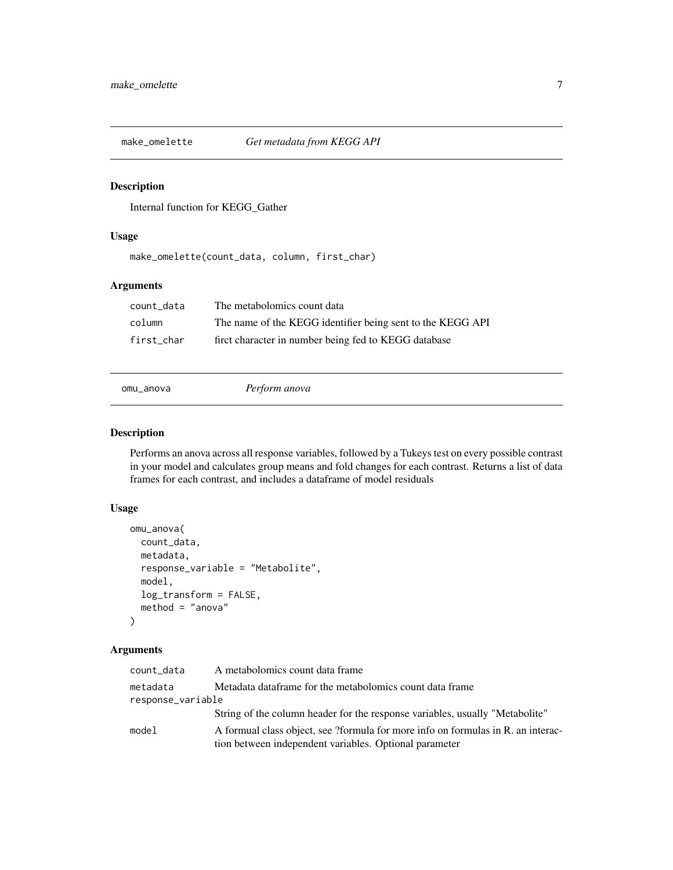<span id="page-6-0"></span>

Internal function for KEGG\_Gather

#### Usage

make\_omelette(count\_data, column, first\_char)

#### Arguments

| count data | The metabolomics count data                                |
|------------|------------------------------------------------------------|
| column     | The name of the KEGG identifier being sent to the KEGG API |
| first char | firct character in number being fed to KEGG database       |

omu\_anova *Perform anova*

#### Description

Performs an anova across all response variables, followed by a Tukeys test on every possible contrast in your model and calculates group means and fold changes for each contrast. Returns a list of data frames for each contrast, and includes a dataframe of model residuals

#### Usage

```
omu_anova(
  count_data,
  metadata,
  response_variable = "Metabolite",
  model,
  log_transform = FALSE,
  method = "anova"
)
```
#### Arguments

| count_data        | A metabolomics count data frame                                                  |
|-------------------|----------------------------------------------------------------------------------|
| metadata          | Metadata dataframe for the metabolomics count data frame                         |
| response_variable |                                                                                  |
|                   | String of the column header for the response variables, usually "Metabolite"     |
| model             | A formual class object, see ?formula for more info on formulas in R, an interac- |
|                   | tion between independent variables. Optional parameter                           |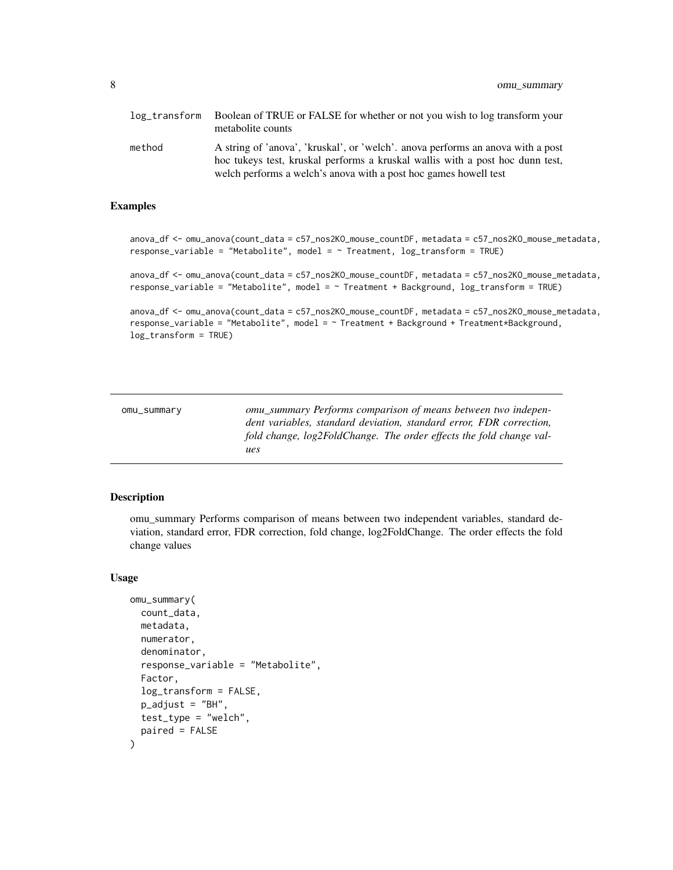<span id="page-7-0"></span>

| log transform | Boolean of TRUE or FALSE for whether or not you wish to log transform your<br>metabolite counts                                                                                                                                      |
|---------------|--------------------------------------------------------------------------------------------------------------------------------------------------------------------------------------------------------------------------------------|
| method        | A string of 'anova', 'kruskal', or 'welch'. anova performs an anova with a post<br>hoc tukeys test, kruskal performs a kruskal wallis with a post hoc dunn test,<br>welch performs a welch's anova with a post hoc games howell test |

#### Examples

```
anova_df <- omu_anova(count_data = c57_nos2KO_mouse_countDF, metadata = c57_nos2KO_mouse_metadata,
response_variable = "Metabolite", model = \sim Treatment, log_transform = TRUE)
anova_df <- omu_anova(count_data = c57_nos2KO_mouse_countDF, metadata = c57_nos2KO_mouse_metadata,
response_variable = "Metabolite", model = ~ Treatment + Background, log_transform = TRUE)
```

```
anova_df <- omu_anova(count_data = c57_nos2KO_mouse_countDF, metadata = c57_nos2KO_mouse_metadata,
response_variable = "Metabolite", model = ~ Treatment + Background + Treatment*Background,
log_transform = TRUE)
```

| omu_summary | omu summary Performs comparison of means between two indepen-       |
|-------------|---------------------------------------------------------------------|
|             | dent variables, standard deviation, standard error, FDR correction, |
|             | fold change, log2FoldChange. The order effects the fold change val- |
|             | ues                                                                 |

#### Description

omu\_summary Performs comparison of means between two independent variables, standard deviation, standard error, FDR correction, fold change, log2FoldChange. The order effects the fold change values

#### Usage

```
omu_summary(
  count_data,
  metadata,
  numerator,
  denominator,
  response_variable = "Metabolite",
  Factor,
  log_transform = FALSE,
  p\_adjust = "BH",test_type = "welch",
  paired = FALSE
)
```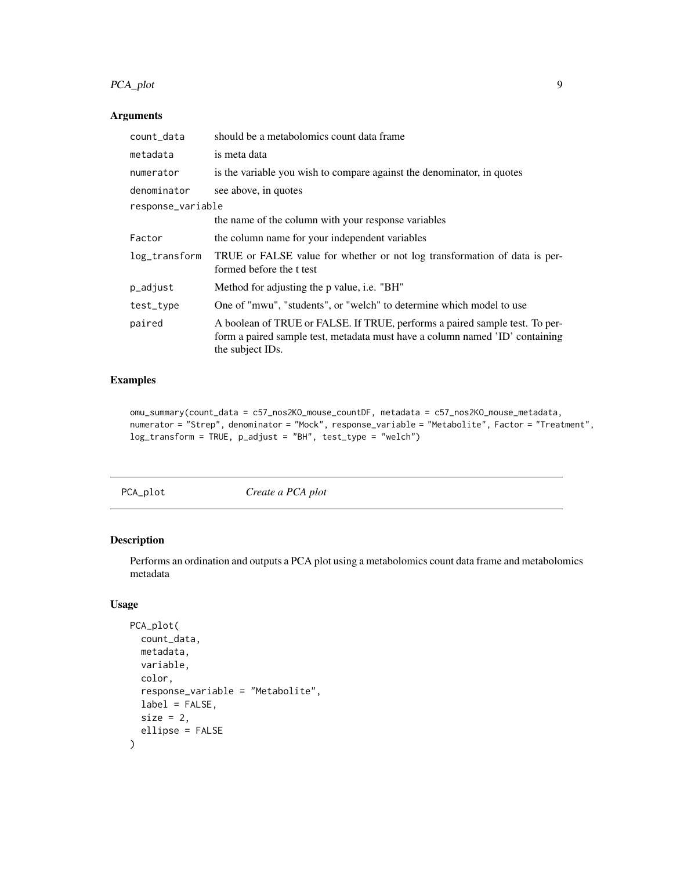#### <span id="page-8-0"></span>PCA\_plot 9

#### Arguments

| count_data        | should be a metabolomics count data frame                                                                                                                                       |  |  |  |
|-------------------|---------------------------------------------------------------------------------------------------------------------------------------------------------------------------------|--|--|--|
| metadata          | is meta data                                                                                                                                                                    |  |  |  |
| numerator         | is the variable you wish to compare against the denominator, in quotes                                                                                                          |  |  |  |
| denominator       | see above, in quotes                                                                                                                                                            |  |  |  |
| response_variable |                                                                                                                                                                                 |  |  |  |
|                   | the name of the column with your response variables                                                                                                                             |  |  |  |
| Factor            | the column name for your independent variables                                                                                                                                  |  |  |  |
| log_transform     | TRUE or FALSE value for whether or not log transformation of data is per-<br>formed before the t test                                                                           |  |  |  |
| p_adjust          | Method for adjusting the p value, <i>i.e.</i> "BH"                                                                                                                              |  |  |  |
| test_type         | One of "mwu", "students", or "welch" to determine which model to use                                                                                                            |  |  |  |
| paired            | A boolean of TRUE or FALSE. If TRUE, performs a paired sample test. To per-<br>form a paired sample test, metadata must have a column named 'ID' containing<br>the subject IDs. |  |  |  |

#### Examples

```
omu_summary(count_data = c57_nos2KO_mouse_countDF, metadata = c57_nos2KO_mouse_metadata,
numerator = "Strep", denominator = "Mock", response_variable = "Metabolite", Factor = "Treatment",
log_transform = TRUE, p_adjust = "BH", test_type = "welch")
```
PCA\_plot *Create a PCA plot*

#### Description

Performs an ordination and outputs a PCA plot using a metabolomics count data frame and metabolomics metadata

#### Usage

```
PCA_plot(
  count_data,
  metadata,
  variable,
  color,
  response_variable = "Metabolite",
  label = FALSE,
  size = 2,
  ellipse = FALSE
\mathcal{E}
```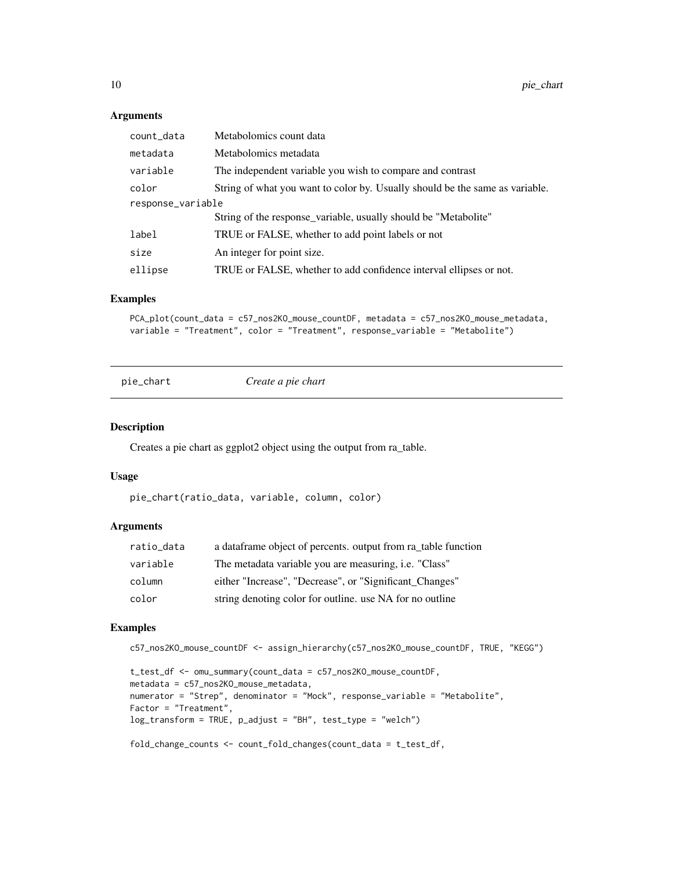#### Arguments

| count_data        | Metabolomics count data                                                      |
|-------------------|------------------------------------------------------------------------------|
| metadata          | Metabolomics metadata                                                        |
| variable          | The independent variable you wish to compare and contrast                    |
| color             | String of what you want to color by. Usually should be the same as variable. |
| response_variable |                                                                              |
|                   | String of the response_variable, usually should be "Metabolite"              |
| label             | TRUE or FALSE, whether to add point labels or not                            |
| size              | An integer for point size.                                                   |
| ellipse           | TRUE or FALSE, whether to add confidence interval ellipses or not.           |

#### Examples

```
PCA_plot(count_data = c57_nos2KO_mouse_countDF, metadata = c57_nos2KO_mouse_metadata,
variable = "Treatment", color = "Treatment", response_variable = "Metabolite")
```
pie\_chart *Create a pie chart*

#### Description

Creates a pie chart as ggplot2 object using the output from ra\_table.

#### Usage

pie\_chart(ratio\_data, variable, column, color)

#### Arguments

| ratio_data | a data frame object of percents, output from ra table function |
|------------|----------------------------------------------------------------|
| variable   | The metadata variable you are measuring, <i>i.e.</i> "Class"   |
| column     | either "Increase", "Decrease", or "Significant_Changes"        |
| color      | string denoting color for outline, use NA for no outline       |

```
c57_nos2KO_mouse_countDF <- assign_hierarchy(c57_nos2KO_mouse_countDF, TRUE, "KEGG")
```

```
t_test_df <- omu_summary(count_data = c57_nos2KO_mouse_countDF,
metadata = c57_nos2KO_mouse_metadata,
numerator = "Strep", denominator = "Mock", response_variable = "Metabolite",
Factor = "Treatment",
log_transform = TRUE, p_adjust = "BH", test_type = "welch")
fold_change_counts <- count_fold_changes(count_data = t_test_df,
```
<span id="page-9-0"></span>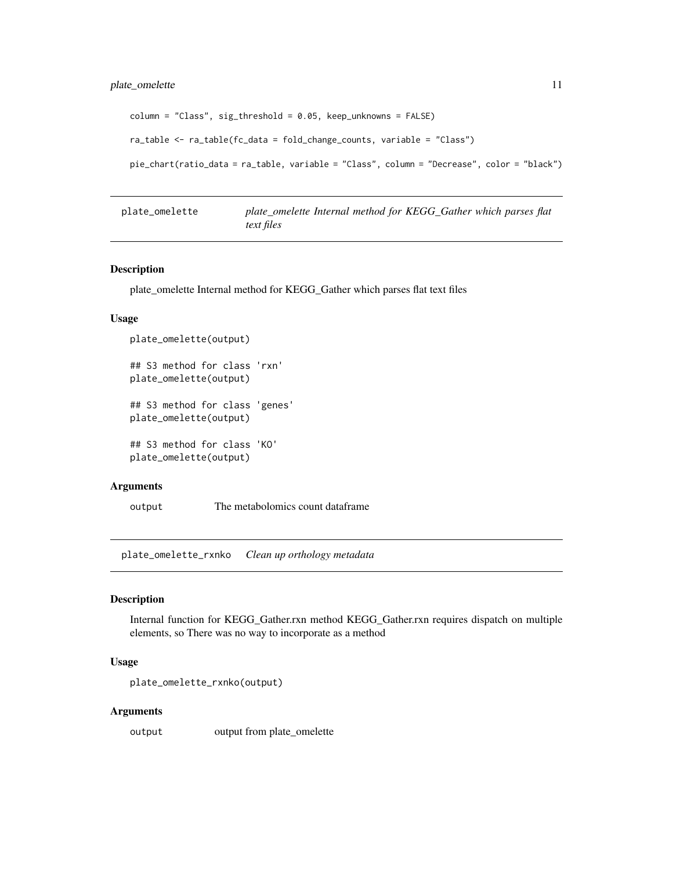```
column = "Class", sig_threshold = 0.05, keep_unknowns = FALSE)
ra_table <- ra_table(fc_data = fold_change_counts, variable = "Class")
pie_chart(ratio_data = ra_table, variable = "Class", column = "Decrease", color = "black")
```
plate\_omelette *plate\_omelette Internal method for KEGG\_Gather which parses flat text files*

#### Description

plate\_omelette Internal method for KEGG\_Gather which parses flat text files

#### Usage

```
plate_omelette(output)
## S3 method for class 'rxn'
plate_omelette(output)
## S3 method for class 'genes'
plate_omelette(output)
## S3 method for class 'KO'
plate_omelette(output)
```
#### Arguments

output The metabolomics count dataframe

plate\_omelette\_rxnko *Clean up orthology metadata*

#### Description

Internal function for KEGG\_Gather.rxn method KEGG\_Gather.rxn requires dispatch on multiple elements, so There was no way to incorporate as a method

#### Usage

```
plate_omelette_rxnko(output)
```
#### Arguments

output output from plate\_omelette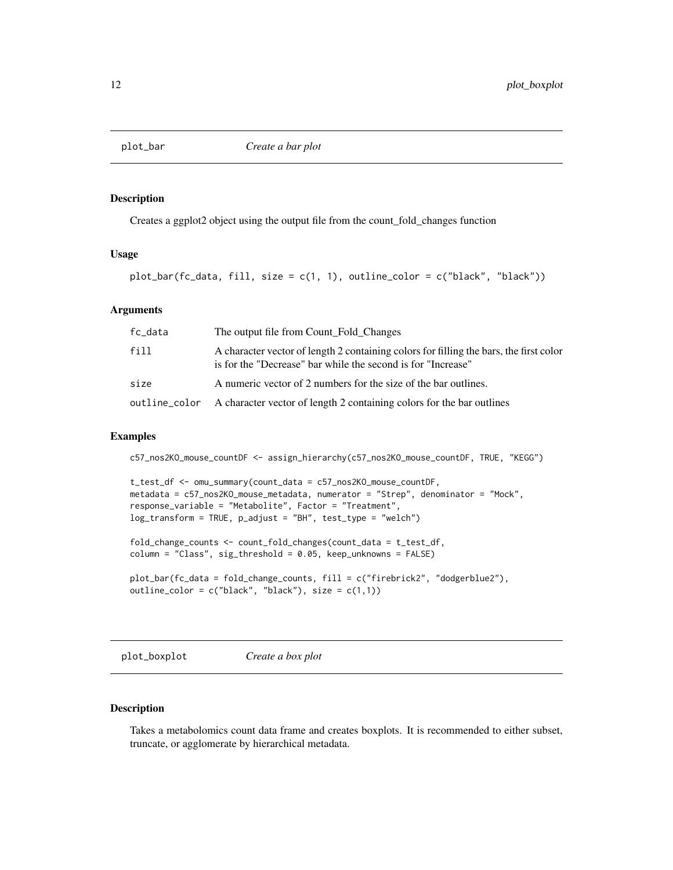<span id="page-11-0"></span>

Creates a ggplot2 object using the output file from the count\_fold\_changes function

#### Usage

plot\_bar(fc\_data, fill, size = c(1, 1), outline\_color = c("black", "black"))

#### Arguments

| fc_data | The output file from Count Fold Changes                                                                                                                |
|---------|--------------------------------------------------------------------------------------------------------------------------------------------------------|
| fill    | A character vector of length 2 containing colors for filling the bars, the first color<br>is for the "Decrease" bar while the second is for "Increase" |
| size    | A numeric vector of 2 numbers for the size of the bar outlines.                                                                                        |
|         | outline_color A character vector of length 2 containing colors for the bar outlines                                                                    |

#### Examples

c57\_nos2KO\_mouse\_countDF <- assign\_hierarchy(c57\_nos2KO\_mouse\_countDF, TRUE, "KEGG")

```
t_test_df <- omu_summary(count_data = c57_nos2KO_mouse_countDF,
metadata = c57_nos2KO_mouse_metadata, numerator = "Strep", denominator = "Mock",
response_variable = "Metabolite", Factor = "Treatment",
log_transform = TRUE, p_adjust = "BH", test_type = "welch")
```
fold\_change\_counts <- count\_fold\_changes(count\_data = t\_test\_df, column = "Class", sig\_threshold = 0.05, keep\_unknowns = FALSE)

```
plot_bar(fc_data = fold_change_counts, fill = c("firebrick2", "dodgerblue2"),
outline_color = c("black", "black"), size = <math>c(1,1)</math>)
```
plot\_boxplot *Create a box plot*

#### Description

Takes a metabolomics count data frame and creates boxplots. It is recommended to either subset, truncate, or agglomerate by hierarchical metadata.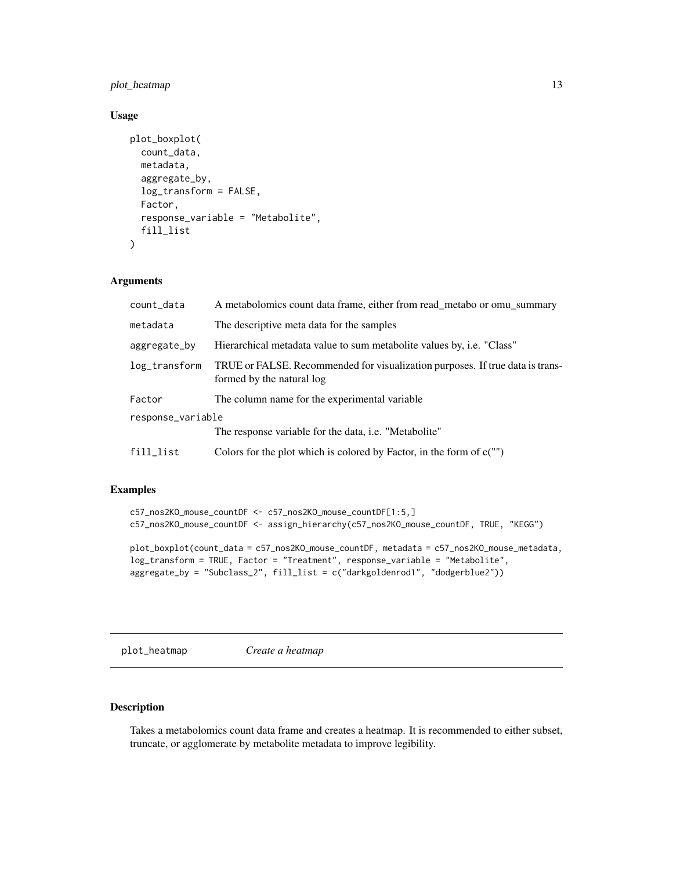#### <span id="page-12-0"></span>plot\_heatmap 13

#### Usage

```
plot_boxplot(
  count_data,
  metadata,
  aggregate_by,
  log_transform = FALSE,
  Factor,
  response_variable = "Metabolite",
  fill_list
)
```
#### Arguments

| count_data        | A metabolomics count data frame, either from read_metabo or omu_summary                                    |  |
|-------------------|------------------------------------------------------------------------------------------------------------|--|
| metadata          | The descriptive meta data for the samples                                                                  |  |
| aggregate_by      | Hierarchical metadata value to sum metabolite values by, i.e. "Class"                                      |  |
| log_transform     | TRUE or FALSE. Recommended for visualization purposes. If true data is trans-<br>formed by the natural log |  |
| Factor            | The column name for the experimental variable.                                                             |  |
| response_variable |                                                                                                            |  |
|                   | The response variable for the data, i.e. "Metabolite"                                                      |  |
| fill_list         | Colors for the plot which is colored by Factor, in the form of $c("")$                                     |  |

#### Examples

```
c57_nos2KO_mouse_countDF <- c57_nos2KO_mouse_countDF[1:5,]
c57_nos2KO_mouse_countDF <- assign_hierarchy(c57_nos2KO_mouse_countDF, TRUE, "KEGG")
plot_boxplot(count_data = c57_nos2KO_mouse_countDF, metadata = c57_nos2KO_mouse_metadata,
log_transform = TRUE, Factor = "Treatment", response_variable = "Metabolite",
aggregate_by = "Subclass_2", fill_list = c("darkgoldenrod1", "dodgerblue2"))
```
plot\_heatmap *Create a heatmap*

#### Description

Takes a metabolomics count data frame and creates a heatmap. It is recommended to either subset, truncate, or agglomerate by metabolite metadata to improve legibility.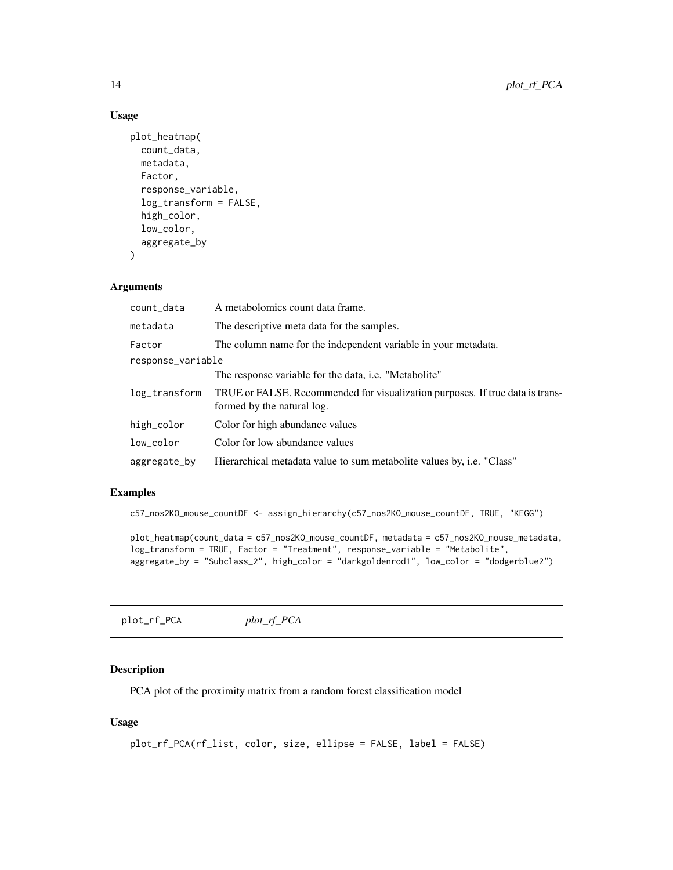#### Usage

```
plot_heatmap(
  count_data,
 metadata,
 Factor,
  response_variable,
  log_transform = FALSE,
 high_color,
  low_color,
  aggregate_by
\lambda
```
#### Arguments

| count_data        | A metabolomics count data frame.                                                                            |  |
|-------------------|-------------------------------------------------------------------------------------------------------------|--|
| metadata          | The descriptive meta data for the samples.                                                                  |  |
| Factor            | The column name for the independent variable in your metadata.                                              |  |
| response_variable |                                                                                                             |  |
|                   | The response variable for the data, <i>i.e.</i> "Metabolite"                                                |  |
| log_transform     | TRUE or FALSE. Recommended for visualization purposes. If true data is trans-<br>formed by the natural log. |  |
| high_color        | Color for high abundance values                                                                             |  |
| low_color         | Color for low abundance values                                                                              |  |
| aggregate_by      | Hierarchical metadata value to sum metabolite values by, <i>i.e.</i> "Class"                                |  |

#### Examples

c57\_nos2KO\_mouse\_countDF <- assign\_hierarchy(c57\_nos2KO\_mouse\_countDF, TRUE, "KEGG")

```
plot_heatmap(count_data = c57_nos2KO_mouse_countDF, metadata = c57_nos2KO_mouse_metadata,
log_transform = TRUE, Factor = "Treatment", response_variable = "Metabolite",
aggregate_by = "Subclass_2", high_color = "darkgoldenrod1", low_color = "dodgerblue2")
```
plot\_rf\_PCA *plot\_rf\_PCA*

#### Description

PCA plot of the proximity matrix from a random forest classification model

#### Usage

```
plot_rf_PCA(rf_list, color, size, ellipse = FALSE, label = FALSE)
```
<span id="page-13-0"></span>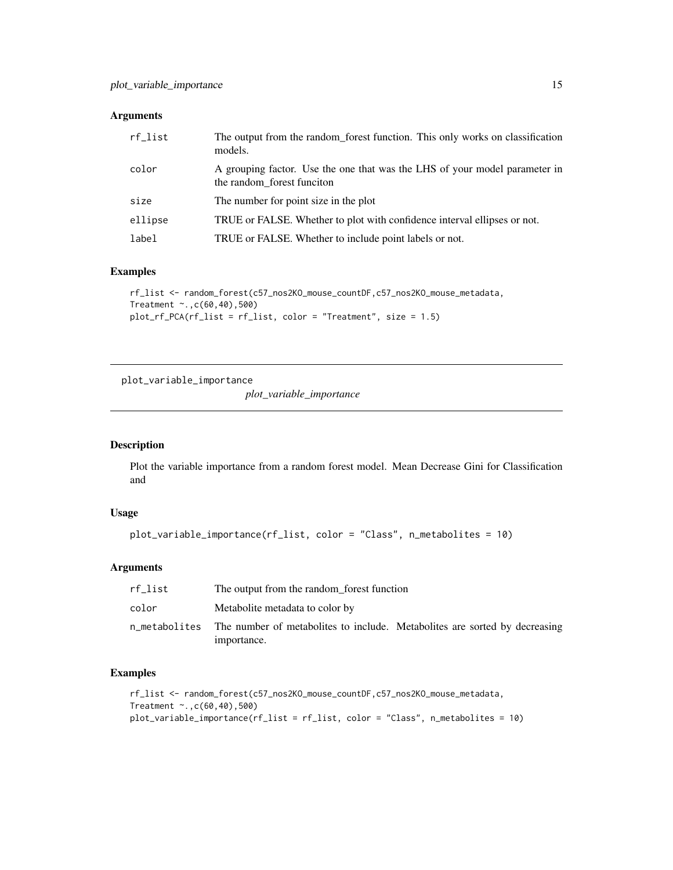#### <span id="page-14-0"></span>Arguments

| rf_list | The output from the random forest function. This only works on classification<br>models.                 |
|---------|----------------------------------------------------------------------------------------------------------|
| color   | A grouping factor. Use the one that was the LHS of your model parameter in<br>the random forest funciton |
| size    | The number for point size in the plot                                                                    |
| ellipse | TRUE or FALSE. Whether to plot with confidence interval ellipses or not.                                 |
| label   | TRUE or FALSE. Whether to include point labels or not.                                                   |

#### Examples

```
rf_list <- random_forest(c57_nos2KO_mouse_countDF,c57_nos2KO_mouse_metadata,
Treatment ~.,c(60,40),500)
plot_rf_PCA(rf_list = rf_list, color = "Treatment", size = 1.5)
```
plot\_variable\_importance

*plot\_variable\_importance*

#### Description

Plot the variable importance from a random forest model. Mean Decrease Gini for Classification and

#### Usage

```
plot_variable_importance(rf_list, color = "Class", n_metabolites = 10)
```
#### Arguments

| rf list | The output from the random_forest function                                                              |
|---------|---------------------------------------------------------------------------------------------------------|
| color   | Metabolite metadata to color by                                                                         |
|         | n_metabolites The number of metabolites to include. Metabolites are sorted by decreasing<br>importance. |

```
rf_list <- random_forest(c57_nos2KO_mouse_countDF,c57_nos2KO_mouse_metadata,
Treatment ~.,c(60,40),500)
plot_variable_importance(rf_list = rf_list, color = "Class", n_metabolites = 10)
```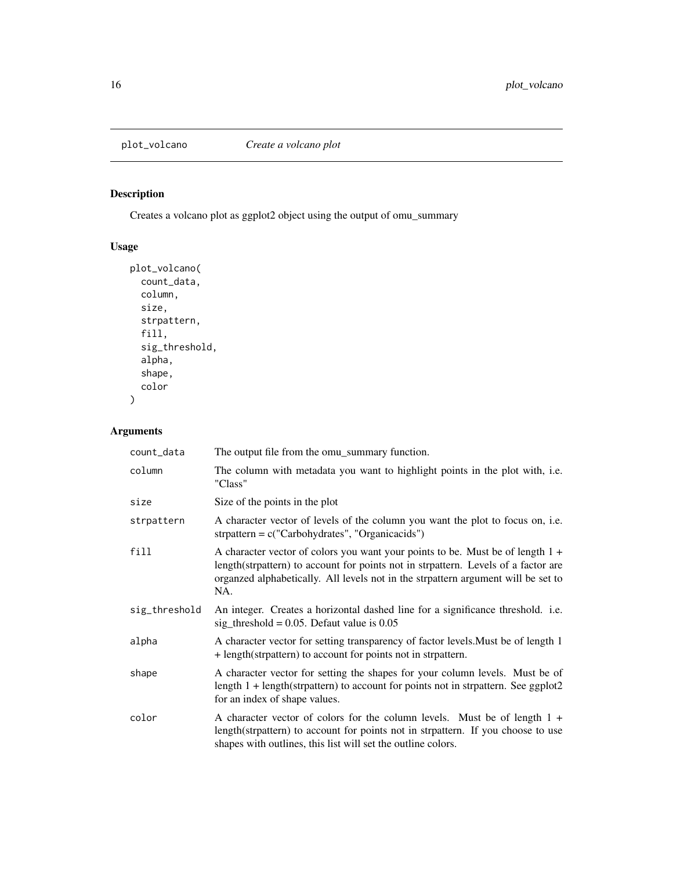<span id="page-15-0"></span>

Creates a volcano plot as ggplot2 object using the output of omu\_summary

#### Usage

```
plot_volcano(
  count_data,
  column,
  size,
  strpattern,
  fill,
  sig_threshold,
  alpha,
  shape,
  color
\mathcal{L}
```
### Arguments

| count_data    | The output file from the omu_summary function.                                                                                                                                                                                                                     |
|---------------|--------------------------------------------------------------------------------------------------------------------------------------------------------------------------------------------------------------------------------------------------------------------|
| column        | The column with metadata you want to highlight points in the plot with, i.e.<br>"Class"                                                                                                                                                                            |
| size          | Size of the points in the plot                                                                                                                                                                                                                                     |
| strpattern    | A character vector of levels of the column you want the plot to focus on, <i>i.e.</i><br>strpattern = $c("Carbohydrates", "Organic acids")$                                                                                                                        |
| fill          | A character vector of colors you want your points to be. Must be of length $1 +$<br>length(strpattern) to account for points not in strpattern. Levels of a factor are<br>organzed alphabetically. All levels not in the strpattern argument will be set to<br>NA. |
| sig_threshold | An integer. Creates a horizontal dashed line for a significance threshold. i.e.<br>sig_threshold = $0.05$ . Defaut value is $0.05$                                                                                                                                 |
| alpha         | A character vector for setting transparency of factor levels. Must be of length 1<br>+ length(strpattern) to account for points not in strpattern.                                                                                                                 |
| shape         | A character vector for setting the shapes for your column levels. Must be of<br>length $1 + \text{length}$ (strpattern) to account for points not in strpattern. See ggplot2<br>for an index of shape values.                                                      |
| color         | A character vector of colors for the column levels. Must be of length $1 +$<br>length(strpattern) to account for points not in strpattern. If you choose to use<br>shapes with outlines, this list will set the outline colors.                                    |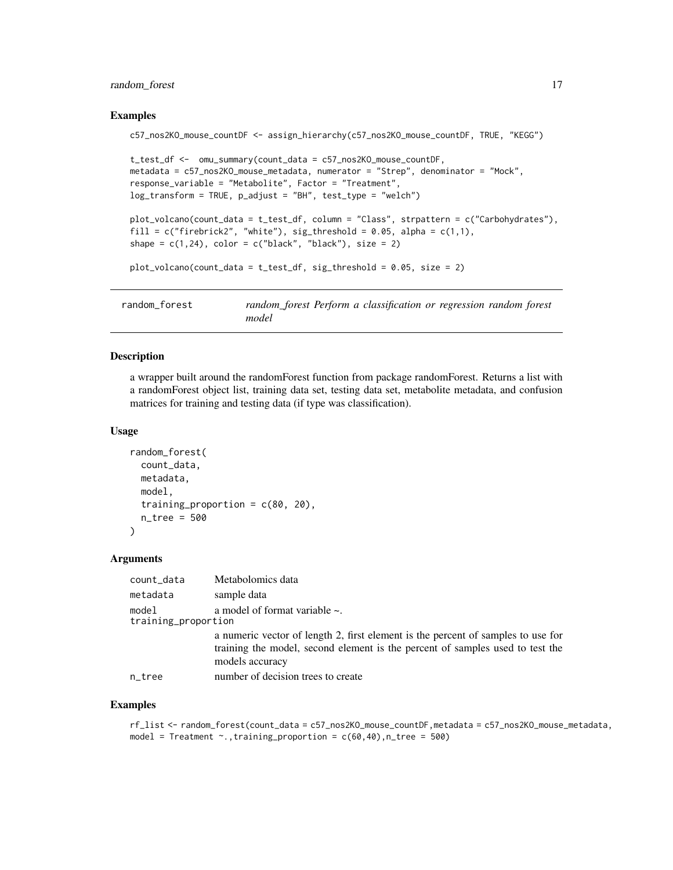#### <span id="page-16-0"></span>random\_forest 17

#### Examples

```
c57_nos2KO_mouse_countDF <- assign_hierarchy(c57_nos2KO_mouse_countDF, TRUE, "KEGG")
```

```
t_test_df <- omu_summary(count_data = c57_nos2KO_mouse_countDF,
metadata = c57_nos2KO_mouse_metadata, numerator = "Strep", denominator = "Mock",
response_variable = "Metabolite", Factor = "Treatment",
log_transform = TRUE, p_adjust = "BH", test_type = "welch")
plot_volcano(count_data = t_test_df, column = "Class", strpattern = c("Carbohydrates"),
fill = c("firebrick2", "white"), sig_threshold = 0.05, alpha = <math>c(1,1)</math>,shape = c(1,24), color = c("black", "black"), size = 2)
```

```
plot_volcano(count_data = t_test_df, sig_threshold = 0.05, size = 2)
```

| random forest | random_forest Perform a classification or regression random forest |  |
|---------------|--------------------------------------------------------------------|--|
|               | model                                                              |  |

#### Description

a wrapper built around the randomForest function from package randomForest. Returns a list with a randomForest object list, training data set, testing data set, metabolite metadata, and confusion matrices for training and testing data (if type was classification).

#### Usage

```
random_forest(
  count_data,
  metadata,
 model,
  training_proportion = c(80, 20),
  n_tree = 500
\lambda
```
#### Arguments

| count_data                   | Metabolomics data                                                                                                                                                                    |
|------------------------------|--------------------------------------------------------------------------------------------------------------------------------------------------------------------------------------|
| metadata                     | sample data                                                                                                                                                                          |
| model<br>training_proportion | a model of format variable $\sim$ .                                                                                                                                                  |
|                              | a numeric vector of length 2, first element is the percent of samples to use for<br>training the model, second element is the percent of samples used to test the<br>models accuracy |
| n_tree                       | number of decision trees to create                                                                                                                                                   |

```
rf_list <- random_forest(count_data = c57_nos2KO_mouse_countDF,metadata = c57_nos2KO_mouse_metadata,
model = Treatment \sim., training_proportion = c(60, 40), n_tree = 500)
```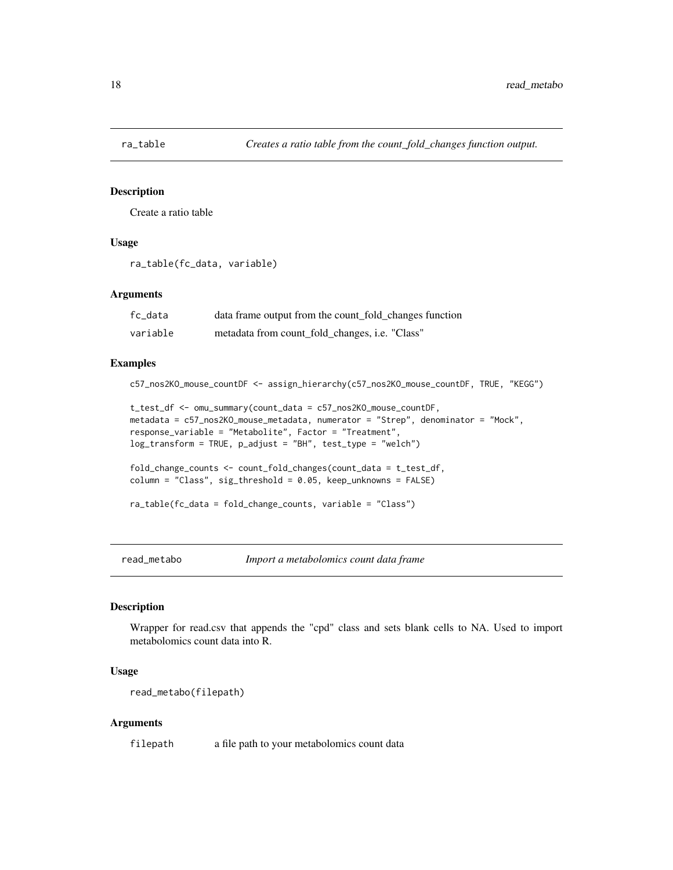<span id="page-17-0"></span>

Create a ratio table

#### Usage

```
ra_table(fc_data, variable)
```
#### **Arguments**

| fc_data  | data frame output from the count_fold_changes function |
|----------|--------------------------------------------------------|
| variable | metadata from count_fold_changes, i.e. "Class"         |

#### Examples

```
c57_nos2KO_mouse_countDF <- assign_hierarchy(c57_nos2KO_mouse_countDF, TRUE, "KEGG")
```

```
t_test_df <- omu_summary(count_data = c57_nos2KO_mouse_countDF,
metadata = c57_nos2KO_mouse_metadata, numerator = "Strep", denominator = "Mock",
response_variable = "Metabolite", Factor = "Treatment",
log_transform = TRUE, p_adjust = "BH", test_type = "welch")
```

```
fold_change_counts <- count_fold_changes(count_data = t_test_df,
column = "Class", sig_threshold = 0.05, keep_unknowns = FALSE)
```

```
ra_table(fc_data = fold_change_counts, variable = "Class")
```
read\_metabo *Import a metabolomics count data frame*

#### Description

Wrapper for read.csv that appends the "cpd" class and sets blank cells to NA. Used to import metabolomics count data into R.

#### Usage

```
read_metabo(filepath)
```
#### Arguments

filepath a file path to your metabolomics count data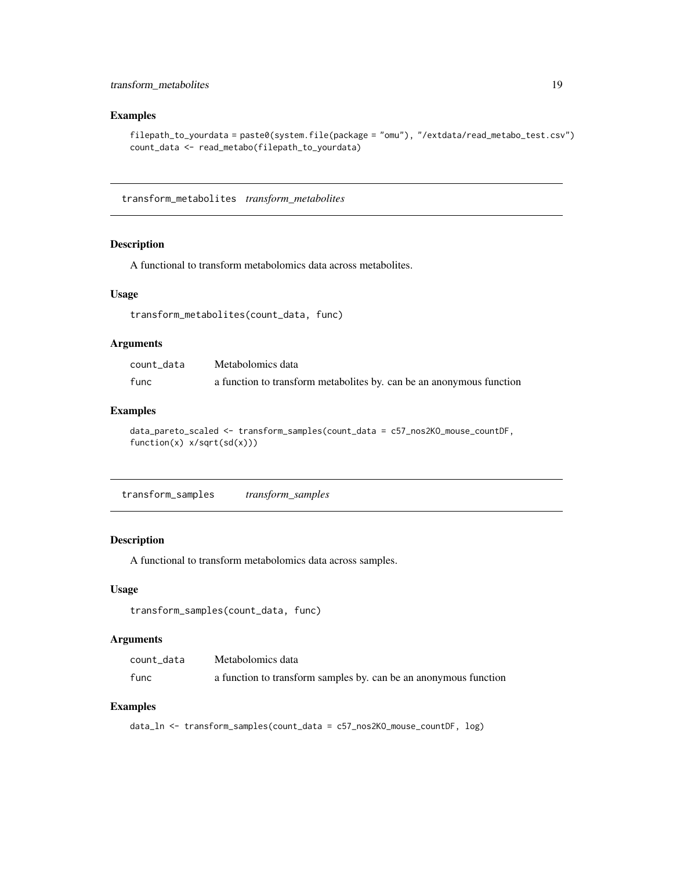#### <span id="page-18-0"></span>Examples

```
filepath_to_yourdata = paste0(system.file(package = "omu"), "/extdata/read_metabo_test.csv")
count_data <- read_metabo(filepath_to_yourdata)
```
transform\_metabolites *transform\_metabolites*

#### Description

A functional to transform metabolomics data across metabolites.

#### Usage

```
transform_metabolites(count_data, func)
```
#### Arguments

| count data | Metabolomics data                                                    |
|------------|----------------------------------------------------------------------|
| func       | a function to transform metabolites by. can be an anonymous function |

#### Examples

```
data_pareto_scaled <- transform_samples(count_data = c57_nos2KO_mouse_countDF,
function(x) x/sqrt(sd(x)))
```
transform\_samples *transform\_samples*

#### Description

A functional to transform metabolomics data across samples.

#### Usage

```
transform_samples(count_data, func)
```
#### Arguments

| count data | Metabolomics data                                                |
|------------|------------------------------------------------------------------|
| func       | a function to transform samples by. can be an anonymous function |

#### Examples

data\_ln <- transform\_samples(count\_data = c57\_nos2KO\_mouse\_countDF, log)